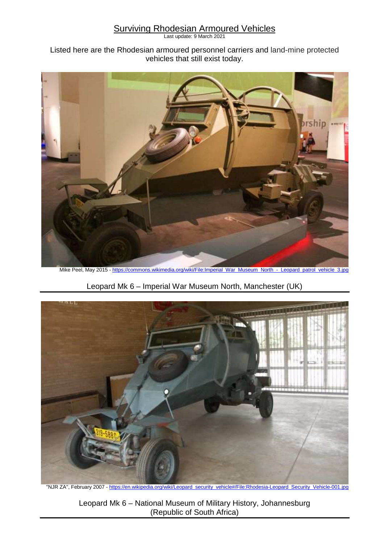## **Surviving Rhodesian Armoured Vehicles**

Last update: 9 March 2021

## Listed here are the Rhodesian armoured personnel carriers and land-mine protected vehicles that still exist today.



Mike Peel, May 2015 - https://commons.wikimedia.org/wiki/File:Imperial\_War\_Museum\_North\_-\_Leopard\_patrol\_vehicle\_3.jpg

Leopard Mk 6 – Imperial War Museum North, Manchester (UK)



"NJR ZA", February 2007 - https://en.wikipedia.org/wiki/Leopard\_security\_vehicle#/File:Rhodesia-Leopard\_Security\_Vehicle-001.jpg

Leopard Mk 6 – National Museum of Military History, Johannesburg (Republic of South Africa)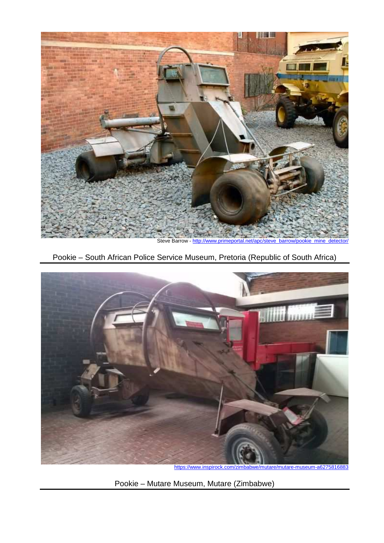

Pookie – South African Police Service Museum, Pretoria (Republic of South Africa)



Pookie – Mutare Museum, Mutare (Zimbabwe)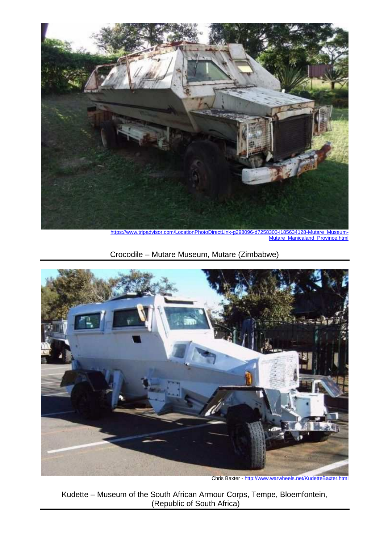

https://www.tripadvisor.com/LocationPhotoDirectLink-g298096-d7258303-i185634128-Mutare\_Museum-Mutare\_Manicaland\_Province.html

Crocodile – Mutare Museum, Mutare (Zimbabwe)



Chris Baxter - http://www.warwheels.net/KudetteBaxter.html

Kudette – Museum of the South African Armour Corps, Tempe, Bloemfontein, (Republic of South Africa)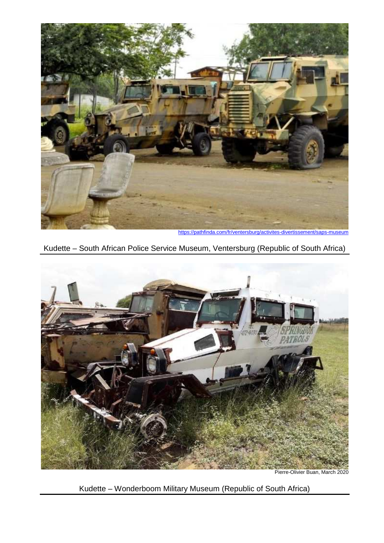

https://pathfinda.com/fr/ventersburg/activites-divertissement/saps-museum





Pierre-Olivier Buan, March 2020

Kudette – Wonderboom Military Museum (Republic of South Africa)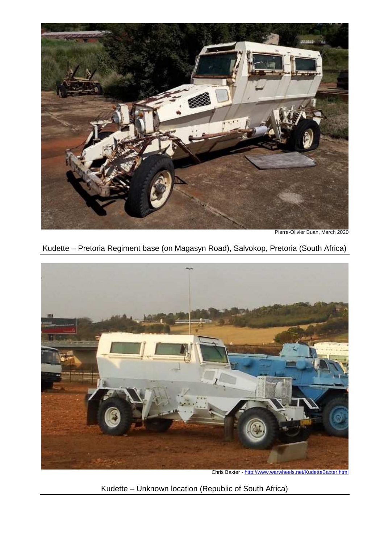

Pierre-Olivier Buan, March 2020

Kudette – Pretoria Regiment base (on Magasyn Road), Salvokop, Pretoria (South Africa)



Chris Baxter - http://www.warwheels.net/KudetteBaxter.html

Kudette – Unknown location (Republic of South Africa)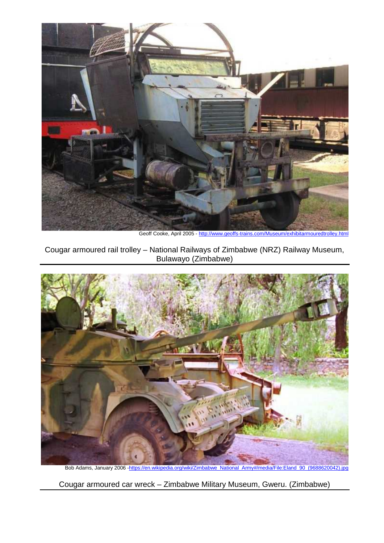

Geoff Cooke, April 2005 - http://www.geoffs-trains.com/Museum/exhibitarmouredtrolley.html

Cougar armoured rail trolley – National Railways of Zimbabwe (NRZ) Railway Museum, Bulawayo (Zimbabwe)



Bob Adams, January 2006 -https://en.wikipedia.org/wiki/Zimbabwe\_National\_Army#/media/File:Eland\_90\_(9688620042).jpg

Cougar armoured car wreck – Zimbabwe Military Museum, Gweru. (Zimbabwe)